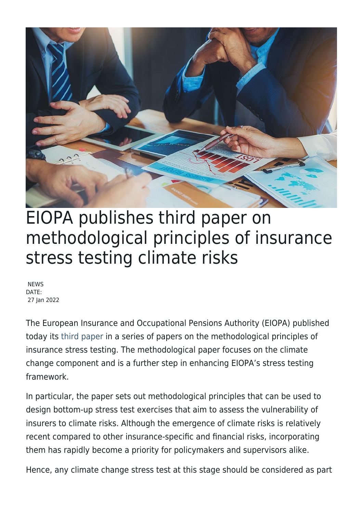

## EIOPA publishes third paper on methodological principles of insurance stress testing climate risks

**NEWS** DATE: 27 Jan 2022

The European Insurance and Occupational Pensions Authority (EIOPA) published today its [third paper](https://www.eiopa.europa.eu/sites/default/files/financial_stability/insurance_stress_test/methodological_principles_of_insurance_stress_testing_-_climate_change_component.pdf) in a series of papers on the methodological principles of insurance stress testing. The methodological paper focuses on the climate change component and is a further step in enhancing EIOPA's stress testing framework.

In particular, the paper sets out methodological principles that can be used to design bottom-up stress test exercises that aim to assess the vulnerability of insurers to climate risks. Although the emergence of climate risks is relatively recent compared to other insurance-specific and financial risks, incorporating them has rapidly become a priority for policymakers and supervisors alike.

Hence, any climate change stress test at this stage should be considered as part